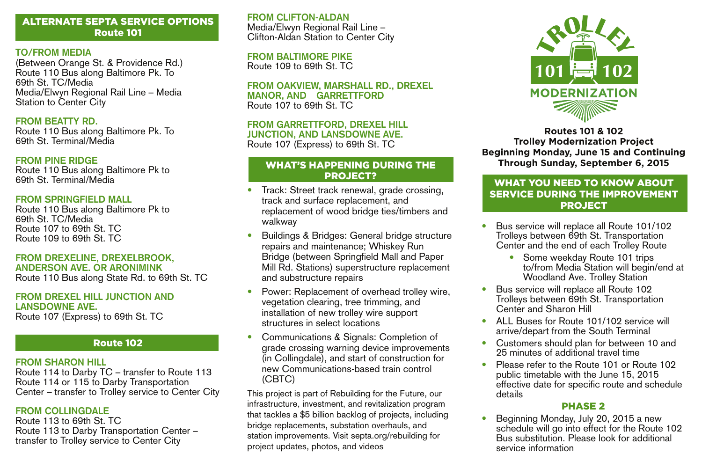## ALTERNATE SEPTA SERVICE OPTIONS Route 101

#### **TO/FROM MEDIA**

(Between Orange St. & Providence Rd.) Route 110 Bus along Baltimore Pk. To 69th St. TC/Media Media/Elwyn Regional Rail Line – Media Station to Center City

#### **FROM BEATTY RD.**

Route 110 Bus along Baltimore Pk. To 69th St. Terminal/Media

#### **FROM PINE RIDGE**

Route 110 Bus along Baltimore Pk to 69th St. Terminal/Media

#### **FROM SPRINGFIELD MALL**

Route 110 Bus along Baltimore Pk to 69th St. TC/Media Route 107 to 69th St. TC Route 109 to 69th St. TC

# **FROM DREXELINE, DREXELBROOK, ANDERSON AVE. OR ARONIMINK**

Route 110 Bus along State Rd. to 69th St. TC

#### **FROM DREXEL HILL JUNCTION AND LANSDOWNE AVE.**

Route 107 (Express) to 69th St. TC

### Route 102

#### **FROM SHARON HILL**

Route 114 to Darby TC – transfer to Route 113 Route 114 or 115 to Darby Transportation Center – transfer to Trolley service to Center City

### **FROM COLLINGDALE**

Route 113 to 69th St. TC Route 113 to Darby Transportation Center – transfer to Trolley service to Center City

**FROM CLIFTON-ALDAN** Media/Elwyn Regional Rail Line – Clifton-Aldan Station to Center City

#### **FROM BALTIMORE PIKE**

Route 109 to 69th St. TC

#### **FROM OAKVIEW, MARSHALL RD., DREXEL MANOR, AND GARRETTFORD** Route 107 to 69th St. TC

## **FROM GARRETTFORD, DREXEL HILL JUNCTION, AND LANSDOWNE AVE.**

Route 107 (Express) to 69th St. TC

### WHAT'S HAPPENING DURING THE PROJECT?

- Track: Street track renewal, grade crossing, track and surface replacement, and replacement of wood bridge ties/timbers and walkway
- Buildings & Bridges: General bridge structure repairs and maintenance; Whiskey Run Bridge (between Springfield Mall and Paper Mill Rd. Stations) superstructure replacement and substructure repairs
- Power: Replacement of overhead trolley wire, vegetation clearing, tree trimming, and installation of new trolley wire support structures in select locations
- Communications & Signals: Completion of grade crossing warning device improvements (in Collingdale), and start of construction for new Communications-based train control (CBTC)

This project is part of Rebuilding for the Future, our infrastructure, investment, and revitalization program that tackles a \$5 billion backlog of projects, including bridge replacements, substation overhauls, and station improvements. Visit septa.org/rebuilding for project updates, photos, and videos



**Routes 101 & 102 Trolley Modernization Project Beginning Monday, June 15 and Continuing Through Sunday, September 6, 2015**

## WHAT YOU NEED TO KNOW ABOUT SERVICE DURING THE IMPROVEMENT PROJECT

- Bus service will replace all Route 101/102 Trolleys between 69th St. Transportation Center and the end of each Trolley Route
	- Some weekday Route 101 trips to/from Media Station will begin/end at Woodland Ave. Trolley Station
- Bus service will replace all Route 102 Trolleys between 69th St. Transportation Center and Sharon Hill
- ALL Buses for Route 101/102 service will arrive/depart from the South Terminal
- Customers should plan for between 10 and 25 minutes of additional travel time
- Please refer to the Route 101 or Route 102 public timetable with the June 15, 2015 effective date for specific route and schedule details

### PHASE 2

• Beginning Monday, July 20, 2015 a new schedule will go into effect for the Route 102 Bus substitution. Please look for additional service information